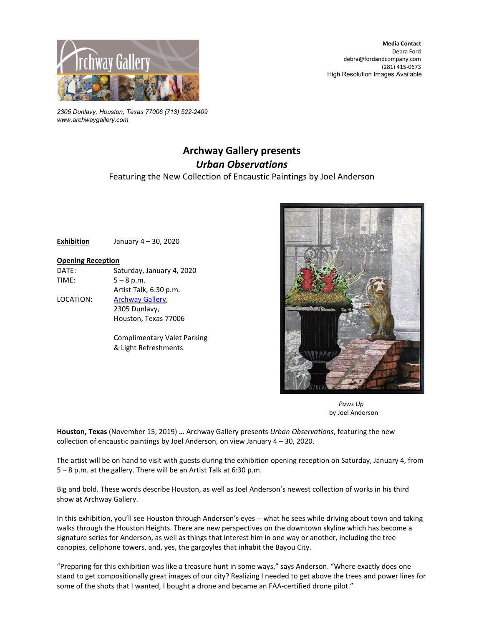

*2305 Dunlavy, Houston, Texas 77006 (713) 522-2409 [www.archwaygallery.com](http://www.archwaygallery.com/)*

## **Archway Gallery presents** *Urban Observations* Featuring the New Collection of Encaustic Paintings by Joel Anderson

**Exhibition** January 4 – 30, 2020

## **Opening Reception**

DATE: Saturday, January 4, 2020 TIME:  $5 - 8$  p.m.

LOCATION: [Archway Gallery,](http://www.archwaygallery.com/) 2305 Dunlavy, Houston, Texas 77006

Artist Talk, 6:30 p.m.

Complimentary Valet Parking & Light Refreshments



 *Paws Up* by Joel Anderson

**Houston, Texas** (November 15, 2019) **…** Archway Gallery presents *Urban Observations*, featuring the new collection of encaustic paintings by Joel Anderson, on view January 4 – 30, 2020.

The artist will be on hand to visit with guests during the exhibition opening reception on Saturday, January 4, from 5 – 8 p.m. at the gallery. There will be an Artist Talk at 6:30 p.m.

Big and bold. These words describe Houston, as well as Joel Anderson's newest collection of works in his third show at Archway Gallery.

In this exhibition, you'll see Houston through Anderson's eyes -- what he sees while driving about town and taking walks through the Houston Heights. There are new perspectives on the downtown skyline which has become a signature series for Anderson, as well as things that interest him in one way or another, including the tree canopies, cellphone towers, and, yes, the gargoyles that inhabit the Bayou City.

"Preparing for this exhibition was like a treasure hunt in some ways," says Anderson. "Where exactly does one stand to get compositionally great images of our city? Realizing I needed to get above the trees and power lines for some of the shots that I wanted, I bought a drone and became an FAA-certified drone pilot."